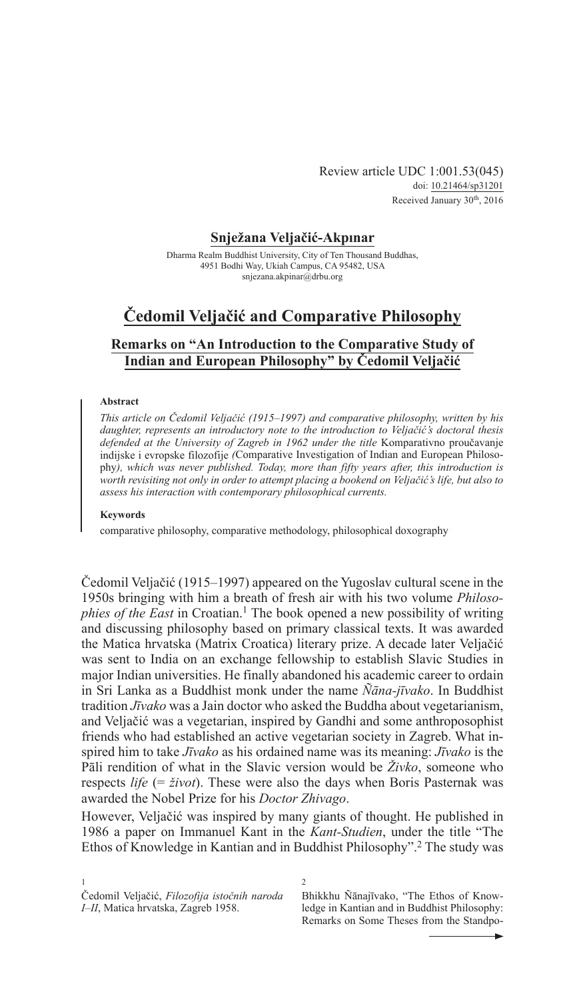Review article UDC 1:001.53(045) doi: [10.21464/sp3120](https://doi.org/10.21464/sp31201)1 Received January 30<sup>th</sup>, 2016

### **Snježana Veljačić-Akpınar**

Dharma Realm Buddhist University, City of Ten Thousand Buddhas, 4951 Bodhi Way, Ukiah Campus, CA 95482, USA [snjezana.akpinar@drbu.org](mailto:snjezana.akpinar@drbu.org)

# **Čedomil Veljačić and Comparative Philosophy**

# **Remarks on "An Introduction to the Comparative Study of Indian and European Philosophy" by Čedomil Veljačić**

#### **Abstract**

*This article on Čedomil Veljačić (1915–1997) and comparative philosophy, written by his daughter, represents an introductory note to the introduction to Veljačić's doctoral thesis defended at the University of Zagreb in 1962 under the title* Komparativno proučavanje indijske i evropske filozofije *(*Comparative Investigation of Indian and European Philosophy*), which was never published. Today, more than fifty years after, this introduction is worth revisiting not only in order to attempt placing a bookend on Veljačić's life, but also to assess his interaction with contemporary philosophical currents.*

#### **Keywords**

comparative philosophy, comparative methodology, philosophical doxography

Čedomil Veljačić (1915–1997) appeared on the Yugoslav cultural scene in the 1950s bringing with him a breath of fresh air with his two volume *Philosophies of the East* in Croatian.<sup>1</sup> The book opened a new possibility of writing and discussing philosophy based on primary classical texts. It was awarded the Matica hrvatska (Matrix Croatica) literary prize. A decade later Veljačić was sent to India on an exchange fellowship to establish Slavic Studies in major Indian universities. He finally abandoned his academic career to ordain in Sri Lanka as a Buddhist monk under the name *ñāna-jīvako*. In Buddhist tradition *Jīvako* was a Jain doctor who asked the Buddha about vegetarianism, and Veljačić was a vegetarian, inspired by Gandhi and some anthroposophist friends who had established an active vegetarian society in Zagreb. What inspired him to take *Jīvako* as his ordained name was its meaning: *Jīvako* is the Pāli rendition of what in the Slavic version would be *Živko*, someone who respects *life* (= *život*). These were also the days when Boris Pasternak was awarded the Nobel Prize for his *Doctor Zhivago*.

However, Veljačić was inspired by many giants of thought. He published in 1986 a paper on Immanuel Kant in the *Kant-Studien*, under the title "The Ethos of Knowledge in Kantian and in Buddhist Philosophy".<sup>2</sup> The study was

Bhikkhu Ñānajīvako, "The Ethos of Knowledge in Kantian and in Buddhist Philosophy: Remarks on Some Theses from the Standpo-

<sup>1</sup> Čedomil Veljačić, *Filozofija istočnih naroda I–II*, Matica hrvatska, Zagreb 1958.

 $\overline{2}$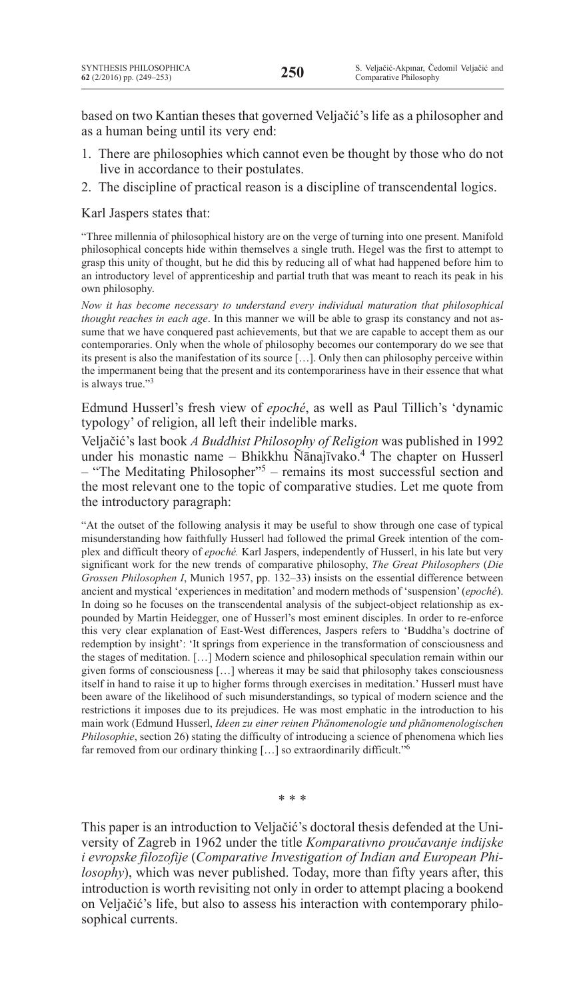based on two Kantian theses that governed Veljačić's life as a philosopher and as a human being until its very end:

- 1. There are philosophies which cannot even be thought by those who do not live in accordance to their postulates.
- 2. The discipline of practical reason is a discipline of transcendental logics.

Karl Jaspers states that:

"Three millennia of philosophical history are on the verge of turning into one present. Manifold philosophical concepts hide within themselves a single truth. Hegel was the first to attempt to grasp this unity of thought, but he did this by reducing all of what had happened before him to an introductory level of apprenticeship and partial truth that was meant to reach its peak in his own philosophy.

*Now it has become necessary to understand every individual maturation that philosophical thought reaches in each age*. In this manner we will be able to grasp its constancy and not assume that we have conquered past achievements, but that we are capable to accept them as our contemporaries. Only when the whole of philosophy becomes our contemporary do we see that its present is also the manifestation of its source […]. Only then can philosophy perceive within the impermanent being that the present and its contemporariness have in their essence that what is always true."3

Edmund Husserl's fresh view of *epoché*, as well as Paul Tillich's 'dynamic typology' of religion, all left their indelible marks.

Veljačić's last book *A Buddhist Philosophy of Religion* was published in 1992 under his monastic name – Bhikkhu Ñānajīvako.<sup>4</sup> The chapter on Husserl – "The Meditating Philosopher"5 – remains its most successful section and the most relevant one to the topic of comparative studies. Let me quote from the introductory paragraph:

"At the outset of the following analysis it may be useful to show through one case of typical misunderstanding how faithfully Husserl had followed the primal Greek intention of the complex and difficult theory of *epoché.* Karl Jaspers, independently of Husserl, in his late but very significant work for the new trends of comparative philosophy, *The Great Philosophers* (*Die Grossen Philosophen I*, Munich 1957, pp. 132–33) insists on the essential difference between ancient and mystical 'experiences in meditation' and modern methods of 'suspension'(*epoché*). In doing so he focuses on the transcendental analysis of the subject-object relationship as expounded by Martin Heidegger, one of Husserl's most eminent disciples. In order to re-enforce this very clear explanation of East-West differences, Jaspers refers to 'Buddha's doctrine of redemption by insight': 'It springs from experience in the transformation of consciousness and the stages of meditation. […] Modern science and philosophical speculation remain within our given forms of consciousness […] whereas it may be said that philosophy takes consciousness itself in hand to raise it up to higher forms through exercises in meditation.' Husserl must have been aware of the likelihood of such misunderstandings, so typical of modern science and the restrictions it imposes due to its prejudices. He was most emphatic in the introduction to his main work (Edmund Husserl, *Ideen zu einer reinen Phänomenologie und phänomenologischen Philosophie*, section 26) stating the difficulty of introducing a science of phenomena which lies far removed from our ordinary thinking [...] so extraordinarily difficult."<sup>6</sup>

\* \* \*

This paper is an introduction to Veljačić's doctoral thesis defended at the University of Zagreb in 1962 under the title *Komparativno proučavanje indijske i evropske filozofije* (*Comparative Investigation of Indian and European Philosophy*), which was never published. Today, more than fifty years after, this introduction is worth revisiting not only in order to attempt placing a bookend on Veljačić's life, but also to assess his interaction with contemporary philosophical currents.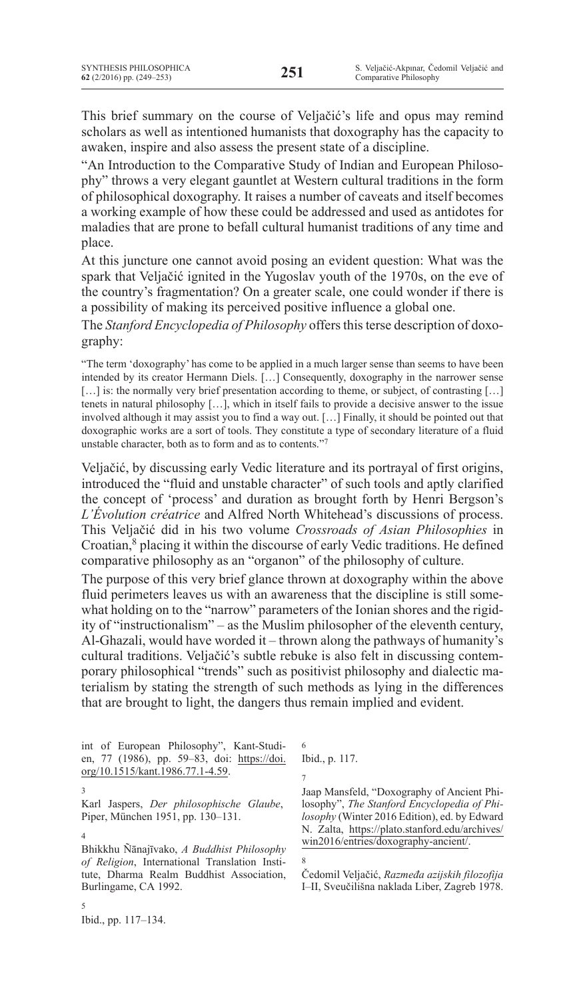This brief summary on the course of Veljačić's life and opus may remind scholars as well as intentioned humanists that doxography has the capacity to awaken, inspire and also assess the present state of a discipline.

"An Introduction to the Comparative Study of Indian and European Philosophy" throws a very elegant gauntlet at Western cultural traditions in the form of philosophical doxography. It raises a number of caveats and itself becomes a working example of how these could be addressed and used as antidotes for maladies that are prone to befall cultural humanist traditions of any time and place.

At this juncture one cannot avoid posing an evident question: What was the spark that Veljačić ignited in the Yugoslav youth of the 1970s, on the eve of the country's fragmentation? On a greater scale, one could wonder if there is a possibility of making its perceived positive influence a global one.

The Stanford Encyclopedia of Philosophy offers this terse description of doxography:

"The term 'doxography' has come to be applied in a much larger sense than seems to have been intended by its creator Hermann Diels. […] Consequently, doxography in the narrower sense [...] is: the normally very brief presentation according to theme, or subject, of contrasting [...] tenets in natural philosophy […], which in itself fails to provide a decisive answer to the issue involved although it may assist you to find a way out. […] Finally, it should be pointed out that doxographic works are a sort of tools. They constitute a type of secondary literature of a fluid unstable character, both as to form and as to contents."7

Veljačić, by discussing early Vedic literature and its portrayal of first origins, introduced the "fluid and unstable character" of such tools and aptly clarified the concept of 'process' and duration as brought forth by Henri Bergson's *L'Évolution créatrice* and Alfred North Whitehead's discussions of process. This Veljačić did in his two volume *Crossroads of Asian Philosophies* in Croatian,<sup>8</sup> placing it within the discourse of early Vedic traditions. He defined comparative philosophy as an "organon" of the philosophy of culture.

The purpose of this very brief glance thrown at doxography within the above fluid perimeters leaves us with an awareness that the discipline is still somewhat holding on to the "narrow" parameters of the Ionian shores and the rigidity of "instructionalism" – as the Muslim philosopher of the eleventh century, Al-Ghazali, would have worded it – thrown along the pathways of humanity's cultural traditions. Veljačić's subtle rebuke is also felt in discussing contemporary philosophical "trends" such as positivist philosophy and dialectic materialism by stating the strength of such methods as lying in the differences that are brought to light, the dangers thus remain implied and evident.

int of European Philosophy", Kant-Studien, 77 (1986), pp. 59–83, doi: https://doi. org/10.1515/kant.1986.77.1-4.59.

Karl Jaspers, *Der philosophische Glaube*, Piper, München 1951, pp. 130–131.

5

Bhikkhu Ñānajīvako, *A Buddhist Philosophy*  of Religion, International Translation Institute, Dharma Realm Buddhist Association, Burlingame, CA 1992.

Ibid., p. 117.

7

6

Jaap Mansfeld, "Doxography of Ancient Philosophy", *The Stanford Encyclopedia of Philosophy* (Winter 2016 Edition), ed. by Edward N. Zalta, https://plato.stanford.edu/archives/ [win2016/entries/doxography-ancient/.](https://plato.stanford.edu/archives/win2016/entries/doxography-ancient/)

8

Čedomil Veljačić, *Razmeđa azijskih filozofija*  I–II, Sveučilišna naklada Liber, Zagreb 1978.

<sup>3</sup>

<sup>4</sup>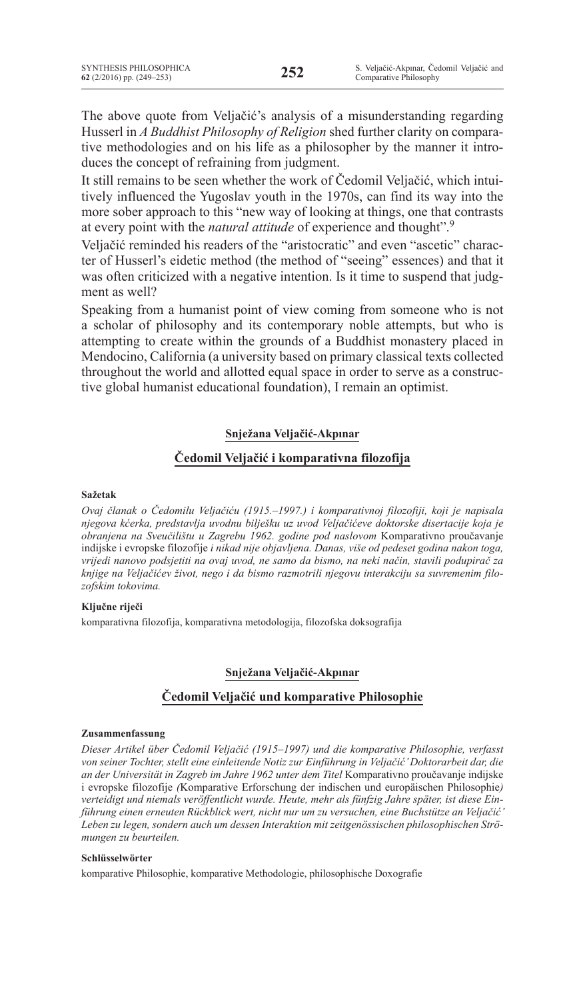The above quote from Veljačić's analysis of a misunderstanding regarding Husserl in *A Buddhist Philosophy of Religion* shed further clarity on comparative methodologies and on his life as a philosopher by the manner it introduces the concept of refraining from judgment.

It still remains to be seen whether the work of Čedomil Veljačić, which intuitively influenced the Yugoslav youth in the 1970s, can find its way into the more sober approach to this "new way of looking at things, one that contrasts at every point with the *natural attitude* of experience and thought".9

Veljačić reminded his readers of the "aristocratic" and even "ascetic" character of Husserl's eidetic method (the method of "seeing" essences) and that it was often criticized with a negative intention. Is it time to suspend that judgment as well?

Speaking from a humanist point of view coming from someone who is not a scholar of philosophy and its contemporary noble attempts, but who is attempting to create within the grounds of a Buddhist monastery placed in Mendocino, California (a university based on primary classical texts collected throughout the world and allotted equal space in order to serve as a constructive global humanist educational foundation), I remain an optimist.

# **Snježana Veljačić-Akpınar**

# **Čedomil Veljačić i komparativna filozofija**

### **Sažetak**

*Ovaj članak o Čedomilu Veljačiću (1915.–1997.) i komparativnoj filozofiji, koji je napisala njegova kćerka, predstavlja uvodnu bilješku uz uvod Veljačićeve doktorske disertacije koja je obranjena na Sveučilištu u Zagrebu 1962. godine pod naslovom* Komparativno proučavanje indijske i evropske filozofije *i nikad nije objavljena. Danas, više od pedeset godina nakon toga, vrijedi nanovo podsjetiti na ovaj uvod, ne samo da bismo, na neki način, stavili podupirač za knjige na Veljačićev život, nego i da bismo razmotrili njegovu interakciju sa suvremenim filozofskim tokovima.*

### **Ključne riječi**

komparativna filozofija, komparativna metodologija, filozofska doksografija

# **Snježana Veljačić-Akpınar**

# **Čedomil Veljačić und komparative Philosophie**

#### **Zusammenfassung**

*Dieser Artikel über Čedomil Veljačić (1915–1997) und die komparative Philosophie, verfasst von seiner Tochter, stellt eine einleitende Notiz zur Einführung in Veljačić' Doktorarbeit dar, die an der Universität in Zagreb im Jahre 1962 unter dem Titel* Komparativno proučavanje indijske i evropske filozofije *(*Komparative Erforschung der indischen und europäischen Philosophie*) verteidigt und niemals veröffentlicht wurde. Heute, mehr als fünfzig Jahre später, ist diese Einführung einen erneuten Rückblick wert, nicht nur um zu versuchen, eine Buchstütze an Veljačić' Leben zu legen, sondern auch um dessen Interaktion mit zeitgenössischen philosophischen Strömungen zu beurteilen.*

#### **Schlüsselwörter**

komparative Philosophie, komparative Methodologie, philosophische Doxografie